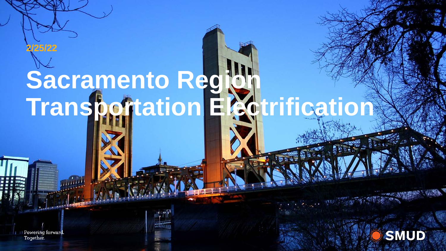# **Sacramento Region Transportation Electrification 2/25/22**

**SMUD** 

Powering forward. Together.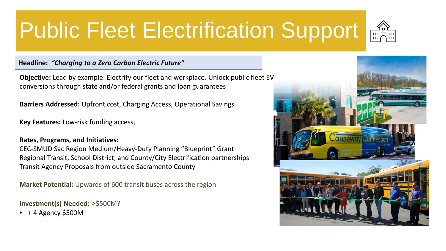### **Public Fleet Electrification Support**  $\frac{22}{100}$



**Objective:** Lead by example: Electrify our fleet and workplace. Unlock public fleet EV conversions through state and/or federal grants and loan guarantees

**Barriers Addressed:** Upfront cost, Charging Access, Operational Savings

**Key Features:** Low-risk funding access,

#### **Rates, Programs, and Initiatives:**

CEC-SMUD Sac Region Medium/Heavy-Duty Planning "Blueprint" Grant Regional Transit, School District, and County/City Electrification partnerships Transit Agency Proposals from outside Sacramento County

**Market Potential:** Upwards of 600 transit buses across the region

**Investment(s) Needed:** >\$500M?

 $\bullet$  + 4 Agency \$500M

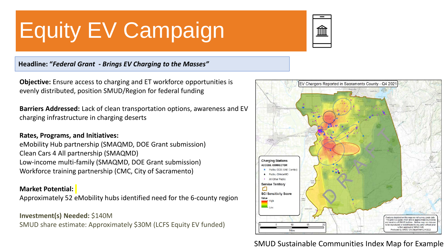## Equity EV Campaign



#### **Headline: "***Federal Grant - Brings EV Charging to the Masses"*

**Objective:** Ensure access to charging and ET workforce opportunities is evenly distributed, position SMUD/Region for federal funding

**Barriers Addressed:** Lack of clean transportation options, awareness and EV charging infrastructure in charging deserts

#### **Rates, Programs, and Initiatives:**

eMobility Hub partnership (SMAQMD, DOE Grant submission) Clean Cars 4 All partnership (SMAQMD) Low-income multi-family (SMAQMD, DOE Grant submission) Workforce training partnership (CMC, City of Sacramento)

#### **Market Potential:**

Approximately 52 eMobility hubs identified need for the 6-county region

#### **Investment(s) Needed:** \$140M

SMUD share estimate: Approximately \$30M (LCFS Equity EV funded)



### SMUD Sustainable Communities Index Map for Example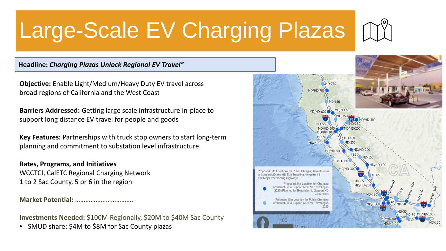## Large-Scale EV Charging Plazas



**Headline:** *Charging Plazas Unlock Regional EV Travel"*

**Objective:** Enable Light/Medium/Heavy Duty EV travel across broad regions of California and the West Coast

**Barriers Addressed:** Getting large scale infrastructure in-place to support long distance EV travel for people and goods

**Key Features:** Partnerships with truck stop owners to start long-term planning and commitment to substation level infrastructure.

**Rates, Programs, and Initiatives** WCCTCI, CalETC Regional Charging Network 1 to 2 Sac County, 5 or 6 in the region

**Market Potential:** …………………………….

**Investments Needed:** \$100M Regionally, \$20M to \$40M Sac County

• SMUD share: \$4M to \$8M for Sac County plazas